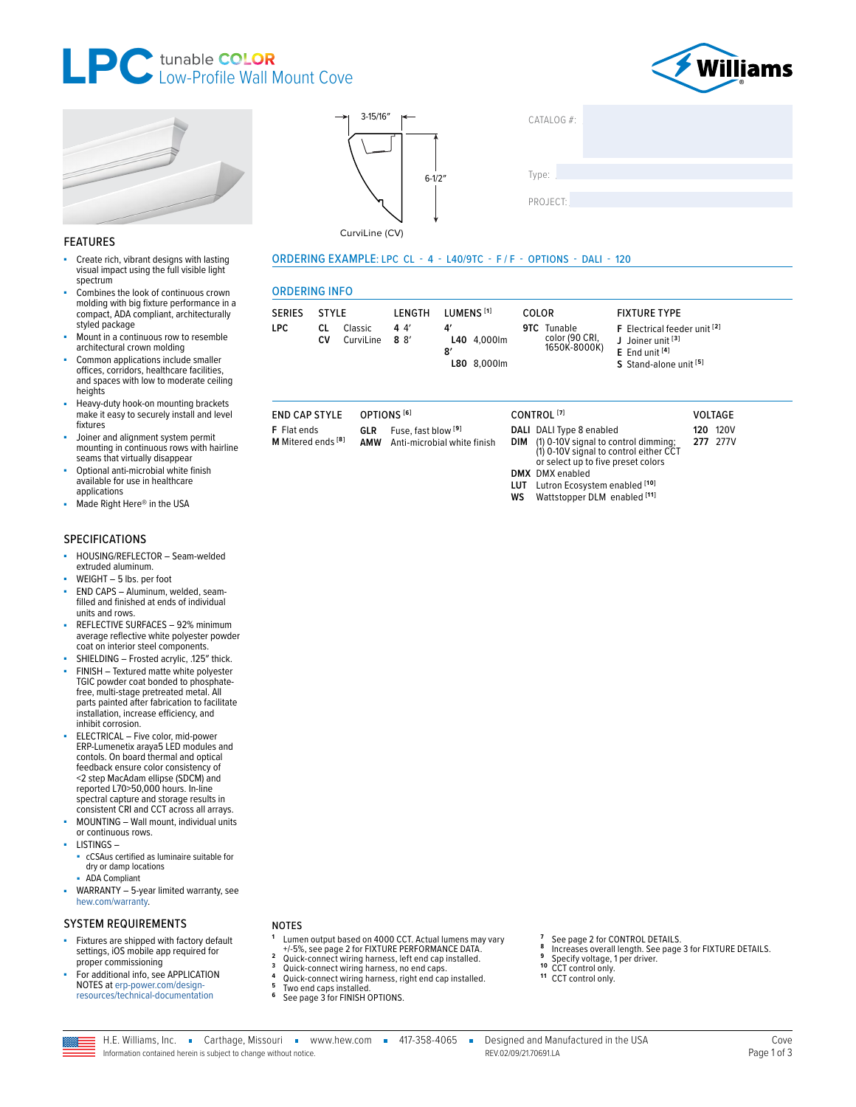





#### **FEATURES**

- Create rich, vibrant designs with lasting visual impact using the full visible light spectrum
- Combines the look of continuous crown molding with big fixture performance in a compact, ADA compliant, architecturally styled package
- Mount in a continuous row to resemble architectural crown molding
- Common applications include smaller offices, corridors, healthcare facilities,<br>and spaces with low to moderate ceiling heights
- Heavy-duty hook-on mounting brackets make it easy to securely install and level fixtures
- Joiner and alignment system permit mounting in continuous rows with hairline seams that virtually disappear
- Optional anti-microbial white finish available for use in healthcare applications
- Made Right Here® in the USA

#### **SPECIFICATIONS**

- HOUSING/REFLECTOR Seam-welded extruded aluminum.
- WEIGHT 5 lbs. per foot
- END CAPS Aluminum, welded, seamfilled and finished at ends of individual units and rows.
- REFLECTIVE SURFACES 92% minimum average reflective white polyester powder coat on interior steel components.
- SHIELDING Frosted acrylic, .125" thick. FINISH - Textured matte white polyester
- TGIC powder coat bonded to phosphatefree, multi-stage pretreated metal. All parts painted after fabrication to facilitate installation, increase efficiency, and inhibit corrosion.
- ELECTRICAL Five color, mid-power ERP-Lumenetix araya5 LED modules and<br>contols. On board thermal and optical feedback ensure color consistency of <2 step MacAdam ellipse (SDCM) and reported L70>50,000 hours. In-line spectral capture and storage results in consistent CRI and CCT across all arrays.
- MOUNTING Wall mount, individual units or continuous rows.
- **LISTINGS** 
	- cCSAus certified as luminaire suitable for dry or damp locations
	- **ADA Compliant**
- WARRANTY 5-year limited warranty, see hew.com/warranty.

#### **SYSTEM REQUIREMENTS**

- Fixtures are shipped with factory default settings, iOS mobile app required for proper commissioning
- For additional info, see APPLICATION NOTES at erp-power.com/designresources/technical-documentation

#### **NOTES**

- Lumen output based on 4000 CCT. Actual lumens may vary -different based of these soft media ramens ind<br>+/-5%, see page 2 for FIXTURE PERFORMANCE DATA.
- Quick-connect wiring harness, left end cap installed.  $\overline{\mathbf{3}}$
- Quick-connect wiring harness, no end caps.<br>Quick-connect wiring harness, right end cap installed.

 $3 - 15/16'$ 

CurviLine (CV)

**ORDERING INFO** 

SERIES STYLE

**END CAP STYLE** 

M Mitered ends [8]

F Flat ends

CV

CL Classic

CurviLine

LPC

 $6 - 1/2'$ 

**I FNGTH** 

GLR Fuse, fast blow<sup>[9]</sup>

AMW Anti-microbial white finish

 $44$ 

 $8 \frac{8}{ }$ 

OPTIONS<sup>[6]</sup>

ORDERING EXAMPLE: LPC CL - 4 - L40/9TC - F/F - OPTIONS - DALI - 120

 $\mathbf{A}'$ 

 $\mathbf{R}'$ 

LUMENS<sup>[1]</sup>

L40 4,000lm

L80 8,000lm

 $CATAIOG#$ 

Type:

COLOR

CONTROL<sup>[7]</sup>

**DIM** 

**WS** 

9TC Tunable

color (90 CRI,<br>1650K-8000K)

DALI DALI Type 8 enabled

**DMX** DMX enabled

(1) 0-10V signal to control dimming;<br>(1) 0-10V signal to control either CCT

or select up to five preset colors

Wattstopper DLM enabled<sup>[11]</sup>

LUT Lutron Ecosystem enabled [10]

**FIXTURE TYPE** 

J Joiner unit<sup>[3]</sup>

 $E$  End unit  $[4]$ 

F Electrical feeder unit [2]

**VOLTAGE** 

**120 120V** 

277 277V

S Stand-alone unit [5]

PROJECT:

- 
- Two end caps installed.<br>See page 3 for FINISH OPTIONS.  $\bf 6$
- See page 2 for CONTROL DETAILS. 8 Increases overall length. See page 3 for FIXTURE DETAILS.
- Specify voltage, 1 per driver.
- 10 CCT control only
- <sup>11</sup> CCT control only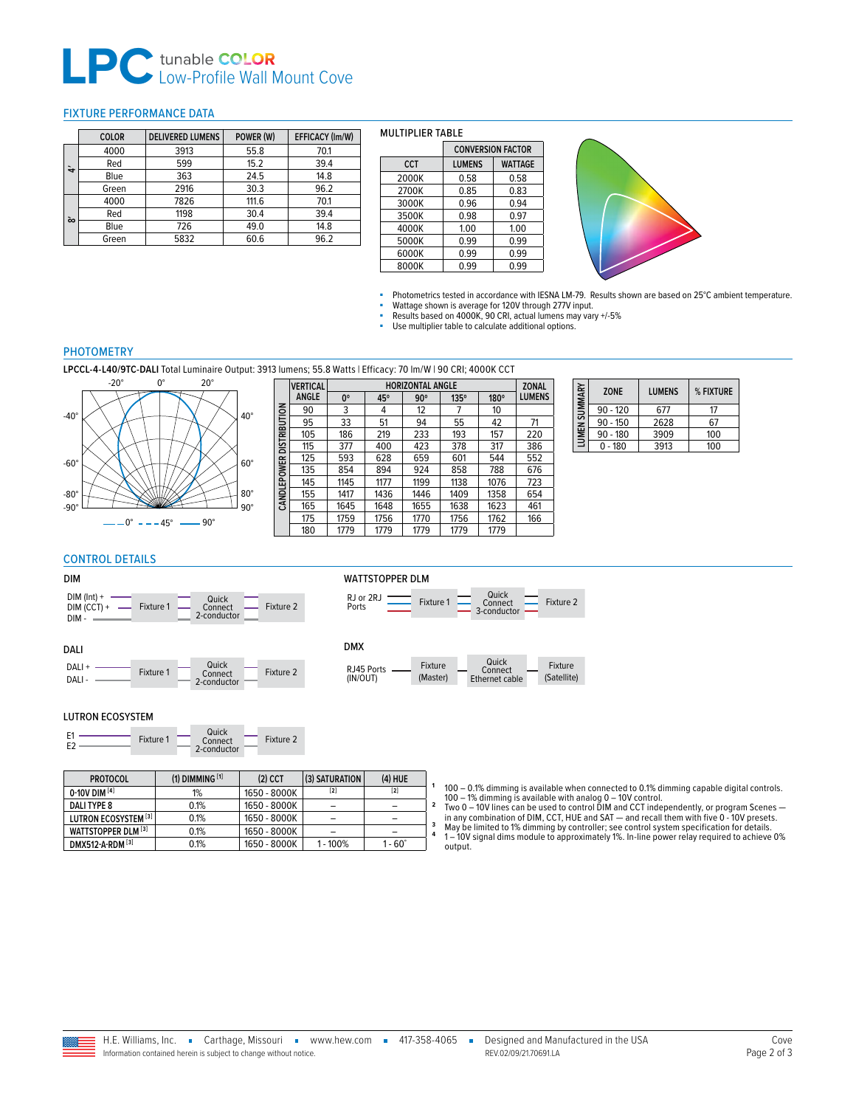## **Low-Profile Wall Mount Cove**

#### <span id="page-1-0"></span>FIXTURE PERFORMANCE DATA

|   | <b>COLOR</b> | <b>DELIVERED LUMENS</b> | POWER (W) | EFFICACY (Im/W) |
|---|--------------|-------------------------|-----------|-----------------|
|   | 4000         | 3913                    | 55.8      | 70.1            |
| ₩ | Red          | 599                     | 15.2      | 39.4            |
|   | Blue         | 363                     | 24.5      | 14.8            |
|   | Green        | 2916                    | 30.3      | 96.2            |
|   | 4000         | 7826                    | 111.6     | 70.1            |
|   | Red          | 1198                    | 30.4      | 39.4            |
| ò | Blue         | 726                     | 49.0      | 14.8            |
|   | Green        | 5832                    | 60.6      | 96.2            |

#### MULTIPLIER TABLE

|            |               | <b>CONVERSION FACTOR</b> |  |  |  |
|------------|---------------|--------------------------|--|--|--|
| <b>CCT</b> | <b>LUMENS</b> | <b>WATTAGE</b>           |  |  |  |
| 2000K      | 0.58          | 0.58                     |  |  |  |
| 2700K      | 0.85          | 0.83                     |  |  |  |
| 3000K      | 0.96          | 0.94                     |  |  |  |
| 3500K      | 0.98          | 0.97                     |  |  |  |
| 4000K      | 1.00          | 1.00                     |  |  |  |
| 5000K      | 0.99          | 0.99                     |  |  |  |
| 6000K      | 0.99          | 0.99                     |  |  |  |
| 8000K      | 0.99          | 0.99                     |  |  |  |



■ Photometrics tested in accordance with IESNA LM-79. Results shown are based on 25°C ambient temperature.<br>■ Wattage shown is average for 120V through 277V input

■ Wattage shown is average for 120V through 277V input.<br>■ Results based on 4000K, 90 CRI, actual lumens may vary +/-5%<br>■ Use multiplier table to calculate additional options.

## **PHOTOMETRY**

**LPCCL-4-L40/9TC-DALI** Total Luminaire Output: 3913 lumens; 55.8 Watts | Efficacy: 70 lm/W | 90 CRI; 4000K CCT



|               | <b>VERTICAL</b> | <b>HORIZONTAL ANGLE</b><br><b>ZONAL</b> |      |            |             |      |               |  |  |  |  |
|---------------|-----------------|-----------------------------------------|------|------------|-------------|------|---------------|--|--|--|--|
|               | <b>ANGLE</b>    | 0°                                      | 45°  | $90^\circ$ | $135^\circ$ | 180° | <b>LUMENS</b> |  |  |  |  |
|               | 90              | 3                                       | 4    | 12         | 7           | 10   |               |  |  |  |  |
|               | 95              | 33                                      | 51   | 94         | 55          | 42   | 71            |  |  |  |  |
| DISTRIBUTION  | 105             | 186                                     | 219  | 233        | 193         | 157  | 220           |  |  |  |  |
|               | 115             | 377                                     | 400  | 423        | 378         | 317  | 386           |  |  |  |  |
|               | 125             | 593                                     | 628  | 659        | 601         | 544  | 552           |  |  |  |  |
| <b>EPOWER</b> | 135             | 854                                     | 894  | 924        | 858         | 788  | 676           |  |  |  |  |
|               | 145             | 1145                                    | 1177 | 1199       | 1138        | 1076 | 723           |  |  |  |  |
| CANDLI        | 155             | 1417                                    | 1436 | 1446       | 1409        | 1358 | 654           |  |  |  |  |
|               | 165             | 1645                                    | 1648 | 1655       | 1638        | 1623 | 461           |  |  |  |  |
|               | 175             | 1759                                    | 1756 | 1770       | 1756        | 1762 | 166           |  |  |  |  |
|               | 180             | 1779                                    | 1779 | 1779       | 1779        | 1779 |               |  |  |  |  |
|               |                 |                                         |      |            |             |      |               |  |  |  |  |

| LUMEN SUMMARY | 70NF       | <b>LUMENS</b> | % FIXTURE |
|---------------|------------|---------------|-----------|
|               | $90 - 120$ | 677           | 17        |
|               | $90 - 150$ | 2628          | 67        |
|               | $90 - 180$ | 3909          | 100       |
|               | $0 - 180$  | 3913          | 100       |

## <span id="page-1-1"></span>CONTROL DETAILS

#### DIM

DALI

DALI + DALI -

| DIM- | $DIM (Int) +$<br>$DIM (CCT) +$<br>- | Fixture 1 |  | Quick<br>Connect<br>2-conductor |  | Fixture 2 |  |
|------|-------------------------------------|-----------|--|---------------------------------|--|-----------|--|
|------|-------------------------------------|-----------|--|---------------------------------|--|-----------|--|

Fixture 1 Connect Fixture 2<br>2-conductor Fixture 2 Quick

## WATTSTOPPER DLM



#### DMX

| (Satellite)<br>(Master)<br>(IN/OUT)<br>Ethernet cable |
|-------------------------------------------------------|
|-------------------------------------------------------|

#### LUTRON ECOSYSTEM

| $\Gamma$ <sub>1</sub><br>F2 | Fixture 1 | Quick<br>Connect<br>2-conductor |  | Fixture 2 |
|-----------------------------|-----------|---------------------------------|--|-----------|
|-----------------------------|-----------|---------------------------------|--|-----------|

| <b>PROTOCOL</b>      | $(1)$ DIMMING $[1]$ | $(2)$ CCT    | $(3)$ SATURATION  | $(4)$ HUE   |                                                                                                                                                                                         |
|----------------------|---------------------|--------------|-------------------|-------------|-----------------------------------------------------------------------------------------------------------------------------------------------------------------------------------------|
| $0-10V$ DIM $^{[4]}$ | $1\%$               | 1650 - 8000K | $\left[ 2\right]$ | [2]         | $100 - 0.1\%$ dimming is available when connected to 0.1% dimming capable digital controls.<br>$100 - 1\%$ dimming is available with analog $0 - 10V$ control.                          |
| DALI TYPE 8          | 0.1%                | 1650 - 8000K |                   |             | Two 0 – 10V lines can be used to control DIM and CCT independently, or program Scenes –                                                                                                 |
| LUTRON ECOSYSTEM [3] | 0.1%                | 1650 - 8000K |                   |             | in any combination of DIM, CCT, HUE and SAT — and recall them with five 0 - 10V presets.                                                                                                |
| WATTSTOPPER DLM [3]  | 0.1%                | 1650 - 8000K |                   |             | May be limited to 1% dimming by controller; see control system specification for details.<br>l — 10V signal dims module to approximately 1%. In-line power relay required to achieve 09 |
| DMX512-A-RDM [3]     | 0.1%                | 1650 - 8000K | $-100%$           | $-60^\circ$ | output.                                                                                                                                                                                 |

1-10V signal dims module to approximately 1%. In-line power relay required to achieve 0% output.